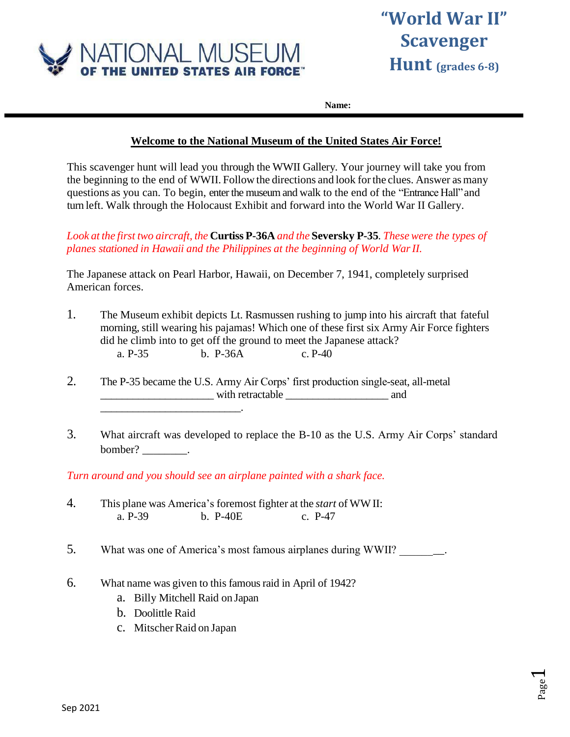

# **"World War II" Scavenger Hunt (grades 6-8)**

Page  $\overline{\phantom{0}}$ 

**Name:**

### **Welcome to the National Museum of the United States Air Force!**

This scavenger hunt will lead you through the WWII Gallery. Your journey will take you from the beginning to the end of WWII. Follow the directions and look forthe clues. Answer asmany questions as you can. To begin, enter the museum and walk to the end of the "Entrance Hall"and turn left. Walk through the Holocaust Exhibit and forward into the World War II Gallery.

*Look at the first two aircraft, the* **Curtiss P-36A** *and the* **Seversky P-35***. These were the types of planes stationed in Hawaii and the Philippines at the beginning of World WarII.*

The Japanese attack on Pearl Harbor, Hawaii, on December 7, 1941, completely surprised American forces.

- 1. The Museum exhibit depicts Lt. Rasmussen rushing to jump into his aircraft that fateful morning, still wearing his pajamas! Which one of these first six Army Air Force fighters did he climb into to get off the ground to meet the Japanese attack? a. P-35 b. P-36A c. P-40
- 2. The P-35 became the U.S. Army Air Corps' first production single-seat, all-metal with retractable <u>\_\_\_\_\_\_\_\_\_\_</u> and
- 3. What aircraft was developed to replace the B-10 as the U.S. Army Air Corps' standard bomber? \_\_\_\_\_\_\_\_\_.

*Turn around and you should see an airplane painted with a shark face.*

- 4. This plane was America's foremost fighter at the *start* of WWII: a. P-39 b. P-40E c. P-47
- 5. What was one of America's most famous airplanes during WWII?
- 6. What name was given to this famousraid in April of 1942?
	- a. Billy Mitchell Raid on Japan
	- b. Doolittle Raid
	- c. Mitscher Raid on Japan

\_\_\_\_\_\_\_\_\_\_\_\_\_\_\_\_\_\_\_\_\_\_\_\_\_\_.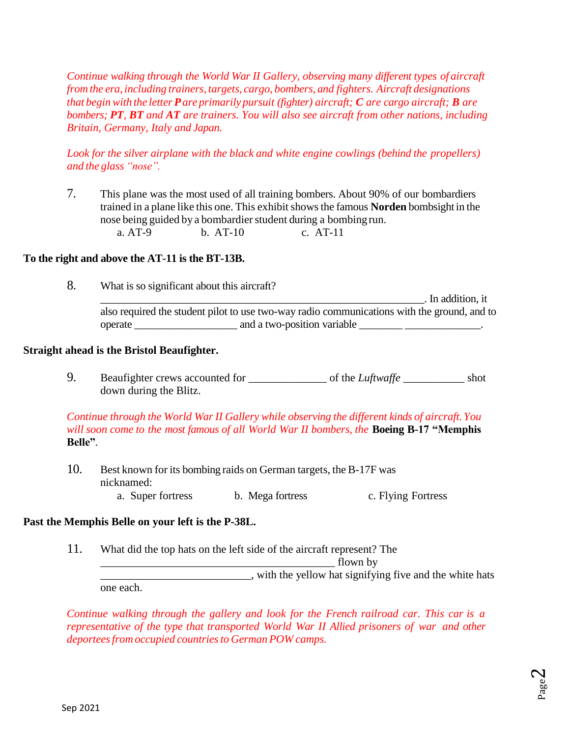*Continue walking through the World War II Gallery, observing many different types of aircraft from the era, including trainers, targets, cargo, bombers, and fighters. Aircraft designations that beginwith the letter Pare primarily pursuit (fighter) aircraft; C are cargo aircraft; B are bombers; PT, BT and AT are trainers. You will also see aircraft from other nations, including Britain, Germany, Italy and Japan.*

*Look for the silver airplane with the black and white engine cowlings (behind the propellers) and the glass "nose".*

7. This plane was the most used of all training bombers. About 90% of our bombardiers trained in a plane like this one. This exhibit shows the famous **Norden** bombsight in the nose being guided by a bombardier student during a bombing run. a. AT-9 b. AT-10 c. AT-11

#### **To the right and above the AT-11 is the BT-13B.**

8. What is so significant about this aircraft? \_\_\_\_\_\_\_\_\_\_\_\_\_\_\_\_\_\_\_\_\_\_\_\_\_\_\_\_\_\_\_\_\_\_\_\_\_\_\_\_\_\_\_\_\_\_\_\_\_\_\_\_\_\_\_\_\_\_\_\_. In addition, it also required the student pilot to use two-way radio communications with the ground, and to operate \_\_\_\_\_\_\_\_\_\_\_\_\_\_\_\_\_\_\_ and a two-position variable \_\_\_\_\_\_\_\_ \_\_\_\_\_\_\_\_\_\_\_\_\_\_.

#### **Straight ahead is the Bristol Beaufighter.**

9. Beaufighter crews accounted for \_\_\_\_\_\_\_\_\_\_\_\_\_\_ of the *Luftwaffe* \_\_\_\_\_\_\_\_\_\_\_ shot down during the Blitz.

*Continue through the World War II Gallery while observing the different kinds of aircraft.You will soon come to the most famous of all World War II bombers, the* **Boeing B-17 "Memphis Belle"**.

10. Best known for its bombing raids on German targets, the B-17F was nicknamed: a. Super fortress b. Mega fortress c. Flying Fortress

#### **Past the Memphis Belle on your left is the P-38L.**

11. What did the top hats on the left side of the aircraft represent? The \_\_\_\_\_\_\_\_\_\_\_\_\_\_\_\_\_\_\_\_\_\_\_\_\_\_\_\_\_\_\_\_\_\_\_\_\_\_\_\_\_\_ flown by with the yellow hat signifying five and the white hats

one each.

*Continue walking through the gallery and look for the French railroad car. This car is a representative of the type that transported World War II Allied prisoners of war and other deporteesfrom occupied countriesto German POW camps.*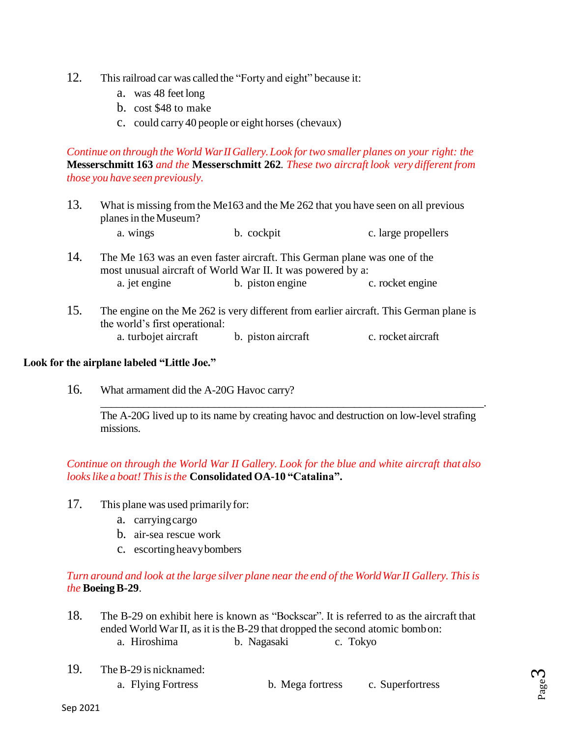- 12. This railroad car was called the "Forty and eight" because it:
	- a. was 48 feet long
	- b. cost \$48 to make
	- c. could carry 40 people or eight horses (chevaux)

*Continue on through the World WarIIGallery.Look for two smaller planes on your right: the*  **Messerschmitt 163** *and the* **Messerschmitt 262***. These two aircraft look very different from those you have seen previously.*

- 13. What is missing from the Me163 and the Me 262 that you have seen on all previous planes in the Museum?
	- a. wings b. cockpit c. large propellers
- 14. The Me 163 was an even faster aircraft. This German plane was one of the most unusual aircraft of World War II. It was powered by a: a. jet engine b. piston engine c. rocket engine
- 15. The engine on the Me 262 is very different from earlier aircraft. This German plane is the world's first operational: a. turbojet aircraft b. piston aircraft c. rocket aircraft

#### **Look for the airplane labeled "Little Joe."**

16. What armament did the A-20G Havoc carry?

The A-20G lived up to its name by creating havoc and destruction on low-level strafing missions.

\_\_\_\_\_\_\_\_\_\_\_\_\_\_\_\_\_\_\_\_\_\_\_\_\_\_\_\_\_\_\_\_\_\_\_\_\_\_\_\_\_\_\_\_\_\_\_\_\_\_\_\_\_\_\_\_\_\_\_\_\_\_\_\_\_\_\_\_\_\_\_.

# *Continue on through the World War II Gallery. Look for the blue and white aircraft that also lookslike a boat! Thisisthe* **Consolidated OA-10 "Catalina".**

- 17. This plane was used primarily for:
	- a. carryingcargo
	- b. air-sea rescue work
	- c. escortingheavybombers

### *Turn around and look at the large silver plane near the end of the WorldWarII Gallery. Thisis the* **BoeingB-29**.

- 18. The B-29 on exhibit here is known as "Bockscar". It is referred to as the aircraft that ended World War II, as it is the B-29 that dropped the second atomic bombon: a. Hiroshima b. Nagasaki c. Tokyo
- 19. TheB-29 is nicknamed:
	- a. Flying Fortress b. Mega fortress c. Superfortress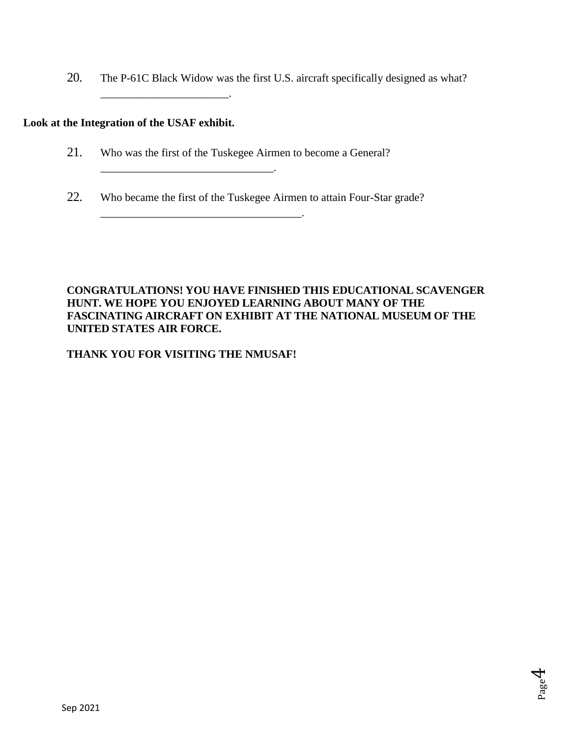20. The P-61C Black Widow was the first U.S. aircraft specifically designed as what?

## **Look at the Integration of the USAF exhibit.**

\_\_\_\_\_\_\_\_\_\_\_\_\_\_\_\_\_\_\_\_\_\_\_.

21. Who was the first of the Tuskegee Airmen to become a General?

\_\_\_\_\_\_\_\_\_\_\_\_\_\_\_\_\_\_\_\_\_\_\_\_\_\_\_\_\_\_\_.

\_\_\_\_\_\_\_\_\_\_\_\_\_\_\_\_\_\_\_\_\_\_\_\_\_\_\_\_\_\_\_\_\_\_\_\_.

22. Who became the first of the Tuskegee Airmen to attain Four-Star grade?

## **CONGRATULATIONS! YOU HAVE FINISHED THIS EDUCATIONAL SCAVENGER HUNT. WE HOPE YOU ENJOYED LEARNING ABOUT MANY OF THE FASCINATING AIRCRAFT ON EXHIBIT AT THE NATIONAL MUSEUM OF THE UNITED STATES AIR FORCE.**

### **THANK YOU FOR VISITING THE NMUSAF!**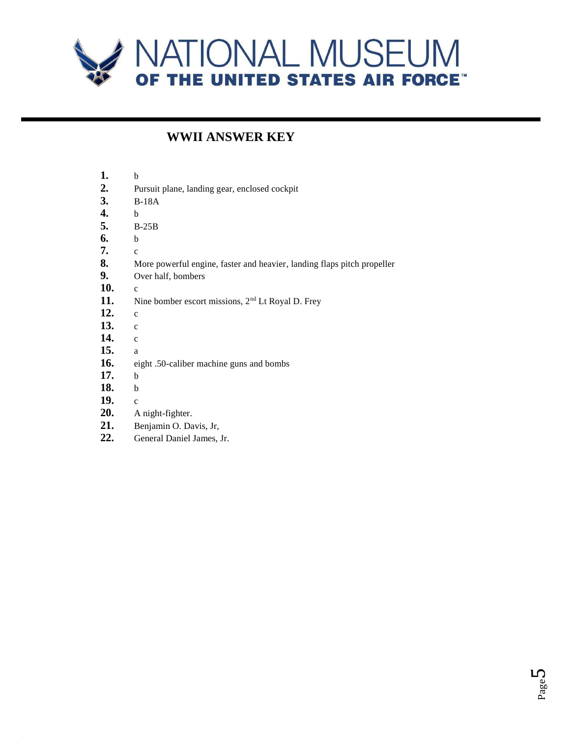

# **WWII ANSWER KEY**

| 1.  | b                                                                       |
|-----|-------------------------------------------------------------------------|
| 2.  | Pursuit plane, landing gear, enclosed cockpit                           |
| 3.  | $B-18A$                                                                 |
| 4.  | b                                                                       |
| 5.  | $B-25B$                                                                 |
| 6.  | b                                                                       |
| 7.  | $\mathbf{c}$                                                            |
| 8.  | More powerful engine, faster and heavier, landing flaps pitch propeller |
| 9.  | Over half, bombers                                                      |
| 10. | $\mathbf{c}$                                                            |
| 11. | Nine bomber escort missions, 2 <sup>nd</sup> Lt Royal D. Frey           |
| 12. | $\mathbf{c}$                                                            |
| 13. | $\mathbf{c}$                                                            |
| 14. | $\mathbf{c}$                                                            |
| 15. | a                                                                       |
| 16. | eight .50-caliber machine guns and bombs                                |
| 17. | b                                                                       |
| 18. | b                                                                       |
| 19. | $\mathbf{C}$                                                            |
| 20. | A night-fighter.                                                        |
| 21. | Benjamin O. Davis, Jr,                                                  |
| 22. | General Daniel James, Jr.                                               |
|     |                                                                         |